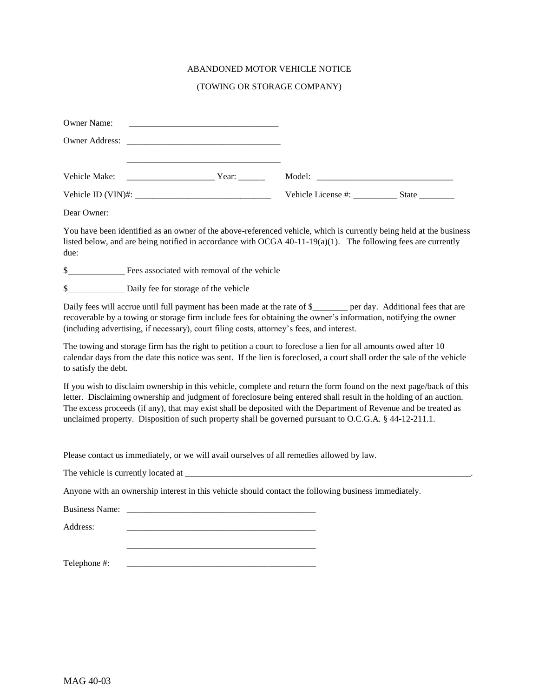## ABANDONED MOTOR VEHICLE NOTICE

## (TOWING OR STORAGE COMPANY)

| <b>Owner Name:</b> |       |                          |  |
|--------------------|-------|--------------------------|--|
|                    |       |                          |  |
|                    |       |                          |  |
| Vehicle Make:      | Year: |                          |  |
|                    |       | Vehicle License #: State |  |

Dear Owner:

You have been identified as an owner of the above-referenced vehicle, which is currently being held at the business listed below, and are being notified in accordance with OCGA 40-11-19(a)(1). The following fees are currently due:

\$ Fees associated with removal of the vehicle

\$ Daily fee for storage of the vehicle

Daily fees will accrue until full payment has been made at the rate of \$ per day. Additional fees that are recoverable by a towing or storage firm include fees for obtaining the owner's information, notifying the owner (including advertising, if necessary), court filing costs, attorney's fees, and interest.

The towing and storage firm has the right to petition a court to foreclose a lien for all amounts owed after 10 calendar days from the date this notice was sent. If the lien is foreclosed, a court shall order the sale of the vehicle to satisfy the debt.

If you wish to disclaim ownership in this vehicle, complete and return the form found on the next page/back of this letter. Disclaiming ownership and judgment of foreclosure being entered shall result in the holding of an auction. The excess proceeds (if any), that may exist shall be deposited with the Department of Revenue and be treated as unclaimed property. Disposition of such property shall be governed pursuant to O.C.G.A. § 44-12-211.1.

Please contact us immediately, or we will avail ourselves of all remedies allowed by law.

\_\_\_\_\_\_\_\_\_\_\_\_\_\_\_\_\_\_\_\_\_\_\_\_\_\_\_\_\_\_\_\_\_\_\_\_\_\_\_\_\_\_\_

| The vehicle is currently located at |  |
|-------------------------------------|--|
|-------------------------------------|--|

Anyone with an ownership interest in this vehicle should contact the following business immediately.

Business Name:

Address:

Telephone #: